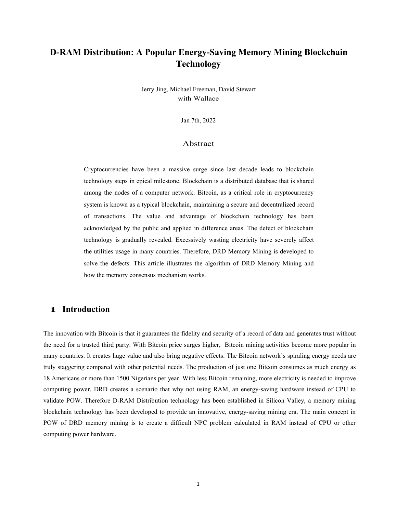# **D-RAM Distribution: A Popular Energy-Saving Memory Mining Blockchain Technology**

Jerry Jing, Michael Freeman, David Stewart with Wallace

Jan 7th, 2022

#### Abstract

Cryptocurrencies have been a massive surge since last decade leads to blockchain technology steps in epical milestone. Blockchain is a distributed database that is shared among the nodes of a computer network. Bitcoin, as a critical role in cryptocurrency system is known as a typical blockchain, maintaining a secure and decentralized record of transactions. The value and advantage of blockchain technology hasbeen acknowledged by the public and applied in difference areas. The defect of blockchain technology is gradually revealed. Excessively wasting electricity have severely affect the utilities usage in many countries. Therefore, DRD Memory Mining is developed to solve the defects. This article illustrates the algorithm of DRD Memory Mining and how the memory consensus mechanism works.

### **1 Introduction**

The innovation with Bitcoin is that it guarantees the fidelity and security of a record of data and generates trust without the need for a trusted third party. With Bitcoin price surges higher, Bitcoin mining activities become more popular in many countries. It creates huge value and also bring negative effects. The Bitcoin network's spiraling energy needs are truly staggering compared with other potential needs. The production of just one Bitcoin consumes as much energy as 18 Americans or more than 1500 Nigerians per year. With less Bitcoin remaining, more electricity is needed to improve computing power. DRD creates a scenario that why not using RAM, an energy-saving hardware instead of CPU to validate POW. Therefore D-RAM Distribution technology has been established in Silicon Valley, a memory mining blockchain technology has been developed to provide an innovative, energy-saving mining era. The main concept in POW of DRD memory mining is to create a difficult NPC problem calculated in RAM instead of CPU or other computing power hardware.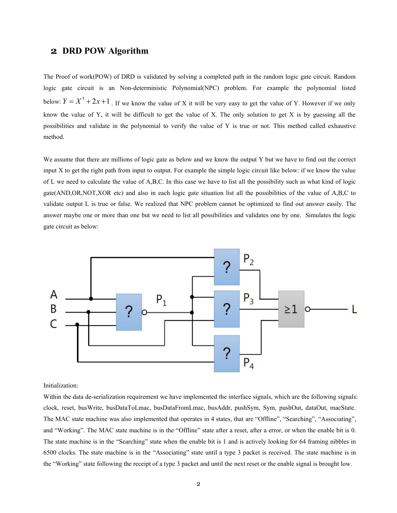## **2 DRD POW Algorithm**

The Proof of work(POW) of DRD is validated by solving a completed path in the random logic gate circuit. Random logic gate circuit is an Non-deterministic Polynomial(NPC) problem. For example the polynomial listed below:  $Y = X^3 + 2x + 1$ . If we know the value of X it will be very easy to get the value of Y. However if we only know the value of Y, it will be difficult to get the value of X. The only solution to get X is by guessing all the possibilities and validate in the polynomial to verify the value of Y is true or not. This method called exhaustive method.

We assume that there are millions of logic gate as below and we know the output Y but we have to find out the correct input X to get the right path from input to output. For example the simple logic circuit like below: if we know the value of L we need to calculate the value of A,B,C. In this case we have to list all the possibility such as what kind of logic gate(AND,OR,NOT,XOR etc) and also in each logic gate situation list all the possibilities of the value of A,B,C to validate output L is true or false. We realized that NPC problem cannot be optimized to find out answer easily. The answer maybe one or more than one but we need to list all possibilities and validates one by one. Simulates the logic gate circuit as below:



#### Initialization:

Within the data de-serialization requirement we have implemented the interface signals, which are the following signals: clock, reset, busWrite, busDataToLmac, busDataFromLmac, busAddr, pushSym, Sym, pushOut, dataOut, macState. The MAC state machine was also implemented that operates in 4 states, that are "Offline", "Searching", "Associating", and "Working". The MAC state machine is in the "Offline" state after a reset, after a error, or when the enable bit is 0. The state machine is in the "Searching" state when the enable bit is 1 and is actively looking for 64 framing nibbles in 6500 clocks. The state machine is in the "Associating" state until a type 3 packet is received. The state machine isin the "Working" state following the receipt of a type 3 packet and until the next reset or the enable signal is brought low.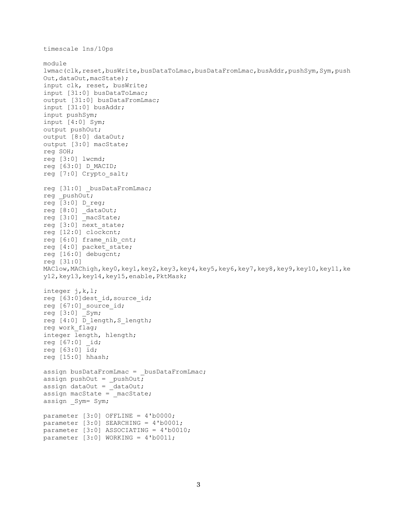```
timescale 1ns/10ps
module
lwmac(clk,reset,busWrite,busDataToLmac,busDataFromLmac,busAddr,pushSym,Sym,push
Out,dataOut,macState);
input clk, reset, busWrite;
input [31:0] busDataToLmac;
output [31:0] busDataFromLmac;
input [31:0] busAddr;
input pushSym;
input [4:0] Sym;
output pushOut;
output [8:0] dataOut;
output [3:0] macState;
reg SOH;
reg [3:0] lwcmd;
reg [63:0] D_MACID;
reg [7:0] Crypto_salt;
reg [31:0] _busDataFromLmac;
reg _pushOut;
reg [3:0] D_reg;
reg [8:0] _dataOut;
reg [3:0] macState;
reg [3:0] next state;
reg [12:0] clockcnt;
reg [6:0] frame nib cnt;
reg [4:0] packet_state;
reg [16:0] debugcnt;
reg [31:0]
MAClow,MAChigh,key0,key1,key2,key3,key4,key5,key6,key7,key8,key9,key10,key11,ke
y12,key13,key14,key15,enable,PktMask;
integer j,k,l;
reg [63:0]dest_id,source_id;
reg [67:0]_source_id;
reg [3:0] Sym;
reg [4:0] D length, S length;
reg work flag;
integer length, hlength;
reg [67:0] _id;
reg [63:0] id;
reg [15:0] hhash;
assign busDataFromLmac = busDataFromLmac;
assign pushOut = _pushOut;
assign dataOut = _dataOut;assign macState = macState;
assign Sym= Sym;
parameter [3:0] OFFLINE = 4'b0000;
parameter [3:0] SEARCHING = 4'b0001;
parameter [3:0] ASSOCIATING = 4'b0010;
parameter [3:0] WORKING = 4'b0011;
```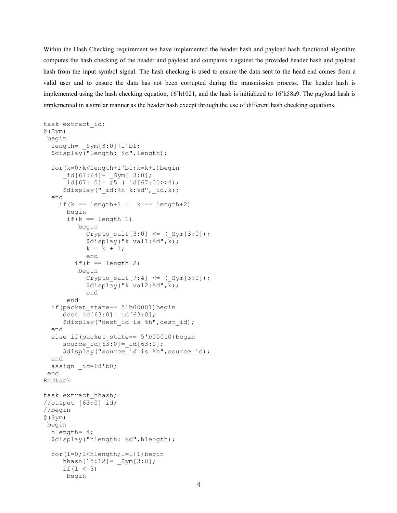Within the Hash Checking requirement we have implemented the header hash and payload hash functional algorithm computes the hash checking of the header and payload and compares it against the provided header hash and payload hash from the input symbol signal. The hash checking is used to ensure the data sent to the head end comes from a valid user and to ensure the data has not been corrupted during the transmission process. The header hash is implemented using the hash checking equation, 16'h1021, and the hash is initialized to 16'h58a9. The payload hash is implemented in a similar manner as the header hash except through the use of different hash checking equations.

```
task extract_id;
@(Sym)
begin
 length= _Sym[3:0]+1'b1;
 $display("length: %d",length);
 for(k=0;k<length+1'b1;k=k+1)begin
    _id[67:64] = Sym[ 3:0];id[67: 0] = #5 (id[67:0] >> 4);
    $display(" id:%h k:%d", id, k);
 end
   if(k == length+1 || k == length+2)
     begin
     if(k == length+1)begin
          Crypto\_salt[3:0] \leq (Sym[3:0]);
          $display("k val1:%d",k);
         k = k + 1;<br>end
          end
       if(k == length+2)
        begin
          Crypto salt[7:4] <= (Sym[3:0]);
          $display("k val2:%d",k);
          end
     end
 if(packet state== 5'b00001)begin
    dest id[63:0] = id[63:0];
    $display("dest id is %h", dest id);
 end
 else if(packet state== 5'b00010)begin
    source id[63:0]=id[63:0];
 $display("source_id is %h",source_id);
 end
 assign _id=68'b0;
 end
Endtask
task extract hhash;
//output [63:0] id;
//begin
@(Sym)
begin
 hlength= 4;
 $display("hlength: %d", hlength);
 for(l=0;l<hlength;l=1+1)begin
    hhash[15:12] = Sym[3:0];
    if(l < 3)
     begin
```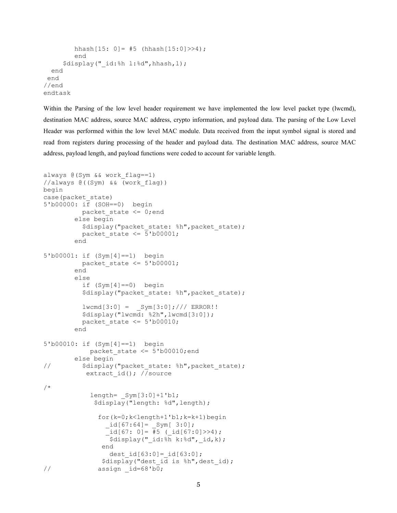```
hhash[15: 0] = #5 (hhash[15:0] >> 4);
     end
   $display("_id:%h l:%d",hhash,l);
 end
end
//end
endtask
```
Within the Parsing of the low level header requirement we have implemented the low level packet type (lwcmd), destination MAC address, source MAC address, crypto information, and payload data. The parsing of the Low Level Header was performed within the low level MAC module. Data received from the input symbol signal is stored and read from registers during processing of the header and payload data. The destination MAC address, source MAC address, payload length, and payload functions were coded to account for variable length.

```
always @(Sym && work_flag==1)
//always @((Sym) && (work_flag))
begin
case(packet_state)
5'b00000: if (SOH==0) begin
         packet state \leq 0; end
       else begin
         $display("packet state: %h", packet state);
       packet_state \leq 5'b00001;<br>end
       end
5'b00001: if (Sym[4]==1) begin
       packet_state <= 5'b00001;
       end
       else
         if (Sym[4]==0) begin
         $display("packet state: %h", packet state);
         lwcmd[3:0] = Sym[3:0];//// ERROR!!$display("lwcmd: %2h",lwcmd[3:0]);
         packet state \leq 5'b00010;
       end
5'b00010: if (Sym[4]==1) begin
           packet state <= 5'b00010;end
       else begin
// \frac{1}{2} $display("packet state: %h",packet state);
          extract id(); //source
/*
           length= _Sym[3:0]+1'b1;
            $display("length: %d",length);
             for(k=0;k<length+1'b1;k=k+1)begin
               _id[67:64] = Sym[ 3:0];id[67: 0] = #5 (id[67:0] >> 4);
               \bar{\text{S}}display(" id:%h k:%d", id,k);
              end
                dest_id[63:0]=_id[63:0];
              $display("dest_id is %h",dest_id);
// assign _id=68'b0;
```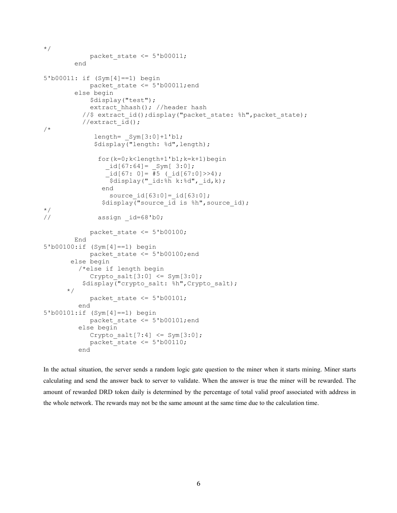```
\star /
           packet state \leq 5'b00011;
       end
5'b00011: if (Sym[4]==1) begin
           packet state \leq 5'b00011;end
       else begin
           $display("test");
           extract hhash(); //header hash
         //$ extract id();display("packet state: %h",packet state);
         //extract id();
/*
            length= Sym[3:0]+1'b1;
            $display("length: %d",length);
             for(k=0;k<length+1'b1;k=k+1)begin
               _id[67:64] = \text{Sym}[3:0];\overline{\text{id}}[67: 0] = \overline{\text{#5}} (\overline{\text{id}}[67:0] >> 4);
              \frac{1}{\sqrt{3}} $display("_id:%h k:%d",_id,k);
              end
                source_id[63:0]=_id[63:0];
              \frac{1}{3}display("source id is \frac{1}{3}h", source id);
*/
// assign id=68'b0;
           packet state \leq 5'b00100;
       End
5'b00100:if (Sym[4]==1) begin
           packet state <= 5'b00100;end
      else begin
        /*else if length begin
           Crypto salt[3:0] <= Sym[3:0];
         $display("crypto_salt: %h", Crypto_salt);
     \star /
        packet_state <= 5'b00101;
        end
5'b00101:if (Sym[4]==1) begin
           packet state <= 5'b00101;end
        else begin
           Crypto salt[7:4] \leq Sym[3:0];
           packet state \leq 5'b00110;
        end
```
In the actual situation, the server sends a random logic gate question to the miner when it starts mining. Miner starts calculating and send the answer back to server to validate. When the answer is true the miner will be rewarded. The amount of rewarded DRD token daily is determined by the percentage of total valid proof associated with address in the whole network. The rewards may not be the same amount at the same time due to the calculation time.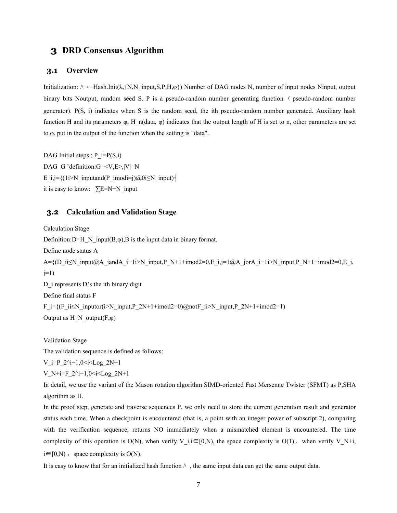## **3 DRD Consensus Algorithm**

#### **3.1 Overview**

Initialization:  $\land \leftarrow$ Hash.Init( $\lambda$ ,{N,N\_input,S,P,H, $\phi$ }) Number of DAG nodes N, number of input nodes Ninput, output binary bits Noutput, random seed S. P is a pseudo-random number generating function ( pseudo-random number generator). P(S, i) indicates when S is the random seed, the ith pseudo-random number generated. Auxiliary hash function H and its parameters  $\varphi$ , H n(data,  $\varphi$ ) indicates that the output length of H is set to n, other parameters are set to  $\varphi$ , put in the output of the function when the setting is "data".

DAG Initial steps :  $P$  i=P(S,i) DAG G 'definition:G=<V,E>,|V|=N E\_i,j={(1i>N\_inputand(P\_imodi=j)@0i≤N\_input) it is easy to know: ∑E=N−N\_input

#### **3.2 Calculation and Validation Stage**

Calculation Stage Definition: D=H N input(B, $\varphi$ ),B is the input data in binary format. Define node status A A={(D\_ii≤N\_input@A\_jandA\_i−1i>N\_input,P\_N+1+imod2=0,E\_i,j=1@A\_jorA\_i−1i>N\_input,P\_N+1+imod2=0,E\_i,  $j=1$ D\_i represents D's the ith binary digit Define final status F  $F_i = {(F_i \text{ii} \le N_i \text{ input} \cdot (i>N_i \text{ input},P_2N+1+\text{imod2}=0)}$ @not $F_i$ ii>N\_input,P\_2N+1+imod2=1) Output as  $H_N$  output $(F,\varphi)$ 

Validation Stage

The validation sequence is defined as follows:

V\_i=P\_2^i−1,0<i<Log\_2N+1

$$
V_N+i=F_2^i-1,0
$$

In detail, we use the variant of the Mason rotation algorithm SIMD-oriented Fast Mersenne Twister (SFMT) as P,SHA algorithm as H.

In the proof step, generate and traverse sequences P, we only need to store the current generation result and generator status each time. When a checkpoint is encountered (that is, a point with an integer power of subscript 2), comparing with the verification sequence, returns NO immediately when a mismatched element is encountered. The time complexity of this operation is O(N), when verify V\_i,i $\in$ [0,N), the space complexity is O(1), when verify V\_N+i, i∈[0,N), space complexity is O(N).<br>It is easy to know that for an initialized hash function  $\land$ , the same input data can get the same output data.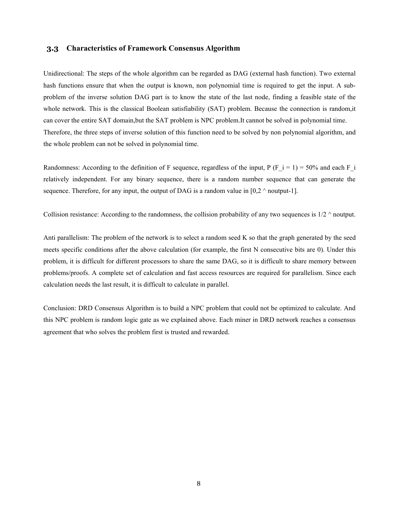#### **3.3 Characteristics of Framework Consensus Algorithm**

Unidirectional: The steps of the whole algorithm can be regarded as DAG (external hash function). Two external hash functions ensure that when the output is known, non polynomial time is required to get the input. A subproblem of the inverse solution DAG part is to know the state of the last node, finding a feasible state of the whole network. This is the classical Boolean satisfiability (SAT) problem. Because the connection is random,it can cover the entire SAT domain,but the SAT problem is NPC problem.It cannot be solved in polynomial time. Therefore, the three steps of inverse solution of this function need to be solved by non polynomial algorithm, and the whole problem can not be solved in polynomial time.

Randomness: According to the definition of F sequence, regardless of the input, P (F i = 1) = 50% and each F i relatively independent. For any binary sequence, there is a random number sequence that can generate the sequence. Therefore, for any input, the output of DAG is a random value in  $[0,2 \land \text{noutput-1}]$ .

Collision resistance: According to the randomness, the collision probability of any two sequences is  $1/2 \land$  noutput.

Anti parallelism: The problem of the network is to select a random seed K so that the graph generated by the seed meets specific conditions after the above calculation (for example, the first N consecutive bits are 0). Under this problem, it is difficult for different processors to share the same DAG, so it is difficult to share memory between problems/proofs. A complete set of calculation and fast access resources are required for parallelism. Since each calculation needs the last result, it is difficult to calculate in parallel.

Conclusion: DRD Consensus Algorithm is to build a NPC problem that could not be optimized to calculate. And this NPC problem is random logic gate as we explained above. Each miner in DRD network reaches a consensus agreement that who solves the problem first is trusted and rewarded.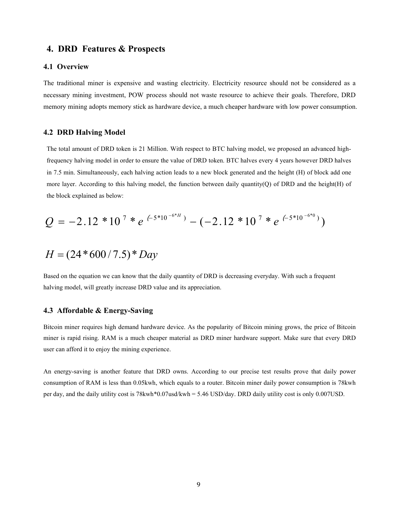### **4. DRD Features & Prospects**

#### **4.1 Overview**

The traditional miner is expensive and wasting electricity. Electricity resource should not be considered as a necessary mining investment, POW process should not waste resource to achieve their goals. Therefore, DRD memory mining adopts memory stick as hardware device, a much cheaper hardware with low power consumption.

#### **4.2 DRD Halving Model**

The total amount of DRD token is 21 Million. With respect to BTC halving model, we proposed an advanced highfrequency halving model in order to ensure the value of DRD token. BTC halves every 4 years however DRD halves in 7.5 min. Simultaneously, each halving action leads to a new block generated and the height (H) of block add one more layer. According to this halving model, the function between daily quantity(Q) of DRD and the height(H) of the block explained as below:

$$
Q = -2.12 * 107 * e(-5*10-6*H) - (-2.12 * 107 * e(-5*10-6*0))
$$

$$
H = (24 * 600 / 7.5) * Day
$$

Based on the equation we can know that the daily quantity of DRD is decreasing everyday. With such a frequent halving model, will greatly increase DRD value and its appreciation.

#### **4.3 Affordable & Energy-Saving**

Bitcoin miner requires high demand hardware device. As the popularity of Bitcoin mining grows, the price of Bitcoin miner is rapid rising. RAM is a much cheaper material as DRD miner hardware support. Make sure that every DRD user can afford it to enjoy the mining experience.

An energy-saving is another feature that DRD owns. According to our precise test results prove that daily power consumption of RAM is less than 0.05kwh, which equals to a router. Bitcoin miner daily power consumption is 78kwh per day, and the daily utility cost is 78kwh\*0.07usd/kwh = 5.46 USD/day. DRD daily utility cost is only 0.007USD.